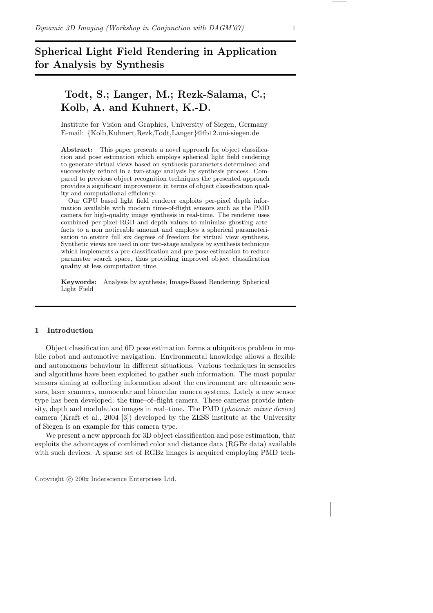# Spherical Light Field Rendering in Application for Analysis by Synthesis

# Todt, S.; Langer, M.; Rezk-Salama, C.; Kolb, A. and Kuhnert, K.-D.

Institute for Vision and Graphics, University of Siegen, Germany E-mail: {Kolb,Kuhnert,Rezk,Todt,Langer}@fb12.uni-siegen.de

Abstract: This paper presents a novel approach for object classification and pose estimation which employs spherical light field rendering to generate virtual views based on synthesis parameters determined and successively refined in a two-stage analysis by synthesis process. Compared to previous object recognition techniques the presented approach provides a significant improvement in terms of object classification quality and computational efficiency.

Our GPU based light field renderer exploits per-pixel depth information available with modern time-of-flight sensors such as the PMD camera for high-quality image synthesis in real-time. The renderer uses combined per-pixel RGB and depth values to minimize ghosting artefacts to a non noticeable amount and employs a spherical parameterisation to ensure full six degrees of freedom for virtual view synthesis. Synthetic views are used in our two-stage analysis by synthesis technique which implements a pre-classification and pre-pose-estimation to reduce parameter search space, thus providing improved object classification quality at less computation time.

Keywords: Analysis by synthesis; Image-Based Rendering; Spherical Light Field

# 1 Introduction

Object classification and 6D pose estimation forms a ubiquitous problem in mobile robot and automotive navigation. Environmental knowledge allows a flexible and autonomous behaviour in different situations. Various techniques in sensorics and algorithms have been exploited to gather such information. The most popular sensors aiming at collecting information about the environment are ultrasonic sensors, laser scanners, monocular and binocular camera systems. Lately a new sensor type has been developed: the time–of–flight camera. These cameras provide intensity, depth and modulation images in real–time. The PMD (photonic mixer device) camera (Kraft et al., 2004 [3]) developed by the ZESS institute at the University of Siegen is an example for this camera type.

We present a new approach for 3D object classification and pose estimation, that exploits the advantages of combined color and distance data (RGBz data) available with such devices. A sparse set of RGBz images is acquired employing PMD tech-

Copyright  $\odot$  200x Inderscience Enterprises Ltd.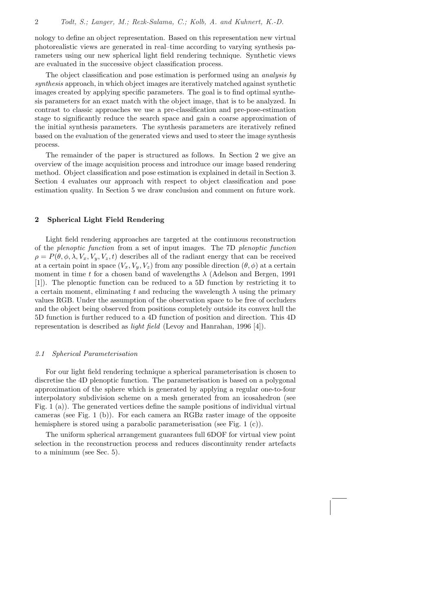nology to define an object representation. Based on this representation new virtual photorealistic views are generated in real–time according to varying synthesis parameters using our new spherical light field rendering technique. Synthetic views are evaluated in the successive object classification process.

The object classification and pose estimation is performed using an *analysis by* synthesis approach, in which object images are iteratively matched against synthetic images created by applying specific parameters. The goal is to find optimal synthesis parameters for an exact match with the object image, that is to be analyzed. In contrast to classic approaches we use a pre-classification and pre-pose-estimation stage to significantly reduce the search space and gain a coarse approximation of the initial synthesis parameters. The synthesis parameters are iteratively refined based on the evaluation of the generated views and used to steer the image synthesis process.

The remainder of the paper is structured as follows. In Section 2 we give an overview of the image acquisition process and introduce our image based rendering method. Object classification and pose estimation is explained in detail in Section 3. Section 4 evaluates our approach with respect to object classification and pose estimation quality. In Section 5 we draw conclusion and comment on future work.

## 2 Spherical Light Field Rendering

Light field rendering approaches are targeted at the continuous reconstruction of the plenoptic function from a set of input images. The 7D plenoptic function  $\rho = P(\theta, \phi, \lambda, V_x, V_y, V_z, t)$  describes all of the radiant energy that can be received at a certain point in space  $(V_x, V_y, V_z)$  from any possible direction  $(\theta, \phi)$  at a certain moment in time t for a chosen band of wavelengths  $\lambda$  (Adelson and Bergen, 1991) [1]). The plenoptic function can be reduced to a 5D function by restricting it to a certain moment, eliminating t and reducing the wavelength  $\lambda$  using the primary values RGB. Under the assumption of the observation space to be free of occluders and the object being observed from positions completely outside its convex hull the 5D function is further reduced to a 4D function of position and direction. This 4D representation is described as light field (Levoy and Hanrahan, 1996 [4]).

#### 2.1 Spherical Parameterisation

For our light field rendering technique a spherical parameterisation is chosen to discretise the 4D plenoptic function. The parameterisation is based on a polygonal approximation of the sphere which is generated by applying a regular one-to-four interpolatory subdivision scheme on a mesh generated from an icosahedron (see Fig. 1 (a)). The generated vertices define the sample positions of individual virtual cameras (see Fig. 1 (b)). For each camera an RGBz raster image of the opposite hemisphere is stored using a parabolic parameterisation (see Fig. 1 (c)).

The uniform spherical arrangement guarantees full 6DOF for virtual view point selection in the reconstruction process and reduces discontinuity render artefacts to a minimum (see Sec. 5).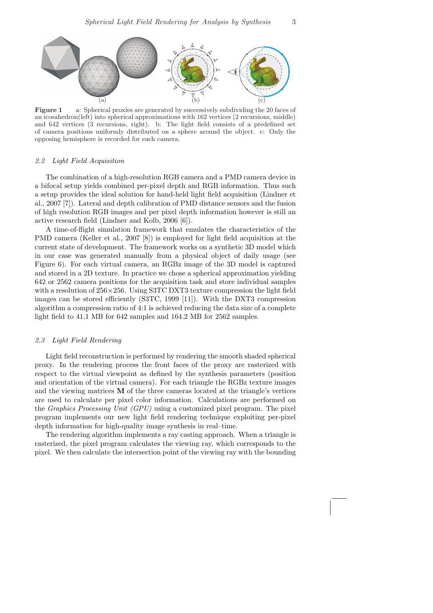

Figure 1 a: Spherical proxies are generated by successively subdividing the 20 faces of an icosahedron(left) into spherical approximations with 162 vertices (2 recursions, middle) and 642 vertices (3 recursions, right). b: The light field consists of a predefined set of camera positions uniformly distributed on a sphere around the object. c: Only the opposing hemisphere is recorded for each camera.

#### 2.2 Light Field Acquisition

The combination of a high-resolution RGB camera and a PMD camera device in a bifocal setup yields combined per-pixel depth and RGB information. Thus such a setup provides the ideal solution for hand-held light field acquisition (Lindner et al., 2007 [7]). Lateral and depth calibration of PMD distance sensors and the fusion of high resolution RGB images and per pixel depth information however is still an active research field (Lindner and Kolb, 2006 [6]).

A time-of-flight simulation framework that emulates the characteristics of the PMD camera (Keller et al., 2007 [8]) is employed for light field acquisition at the current state of development. The framework works on a synthetic 3D model which in our case was generated manually from a physical object of daily usage (see Figure 6). For each virtual camera, an RGBz image of the 3D model is captured and stored in a 2D texture. In practice we chose a spherical approximation yielding 642 or 2562 camera positions for the acquisition task and store individual samples with a resolution of  $256 \times 256$ . Using S3TC DXT3 texture compression the light field images can be stored efficiently (S3TC, 1999 [11]). With the DXT3 compression algorithm a compression ratio of 4:1 is achieved reducing the data size of a complete light field to 41.1 MB for 642 samples and 164.2 MB for 2562 samples.

#### 2.3 Light Field Rendering

Light field reconstruction is performed by rendering the smooth shaded spherical proxy. In the rendering process the front faces of the proxy are rasterized with respect to the virtual viewpoint as defined by the synthesis parameters (position and orientation of the virtual camera). For each triangle the RGBz texture images and the viewing matrices  **of the three cameras located at the triangle's vertices** are used to calculate per pixel color information. Calculations are performed on the Graphics Processing Unit (GPU) using a customized pixel program. The pixel program implements our new light field rendering technique exploiting per-pixel depth information for high-quality image synthesis in real–time.

The rendering algorithm implements a ray casting approach. When a triangle is rasterized, the pixel program calculates the viewing ray, which corresponds to the pixel. We then calculate the intersection point of the viewing ray with the bounding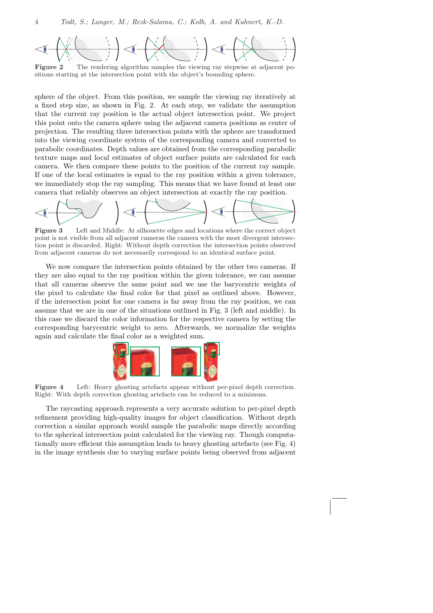

Figure 2 The rendering algorithm samples the viewing ray stepwise at adjacent positions starting at the intersection point with the object's bounding sphere.

sphere of the object. From this position, we sample the viewing ray iteratively at a fixed step size, as shown in Fig. 2. At each step, we validate the assumption that the current ray position is the actual object intersection point. We project this point onto the camera sphere using the adjacent camera positions as center of projection. The resulting three intersection points with the sphere are transformed into the viewing coordinate system of the corresponding camera and converted to parabolic coordinates. Depth values are obtained from the corresponding parabolic texture maps and local estimates of object surface points are calculated for each camera. We then compare these points to the position of the current ray sample. If one of the local estimates is equal to the ray position within a given tolerance, we immediately stop the ray sampling. This means that we have found at least one camera that reliably observes an object intersection at exactly the ray position.



Figure 3 Left and Middle: At silhouette edges and locations where the correct object point is not visible from all adjacent cameras the camera with the most divergent intersection point is discarded. Right: Without depth correction the intersection points observed from adjacent cameras do not necessarily correspond to an identical surface point.

We now compare the intersection points obtained by the other two cameras. If they are also equal to the ray position within the given tolerance, we can assume that all cameras observe the same point and we use the barycentric weights of the pixel to calculate the final color for that pixel as outlined above. However, if the intersection point for one camera is far away from the ray position, we can assume that we are in one of the situations outlined in Fig. 3 (left and middle). In this case we discard the color information for the respective camera by setting the corresponding barycentric weight to zero. Afterwards, we normalize the weights again and calculate the final color as a weighted sum.



Figure 4 Left: Heavy ghosting artefacts appear without per-pixel depth correction. Right: With depth correction ghosting artefacts can be reduced to a minimum.

The raycasting approach represents a very accurate solution to per-pixel depth refinement providing high-quality images for object classification. Without depth correction a similar approach would sample the parabolic maps directly according to the spherical intersection point calculated for the viewing ray. Though computationally more efficient this assumption leads to heavy ghosting artefacts (see Fig. 4) in the image synthesis due to varying surface points being observed from adjacent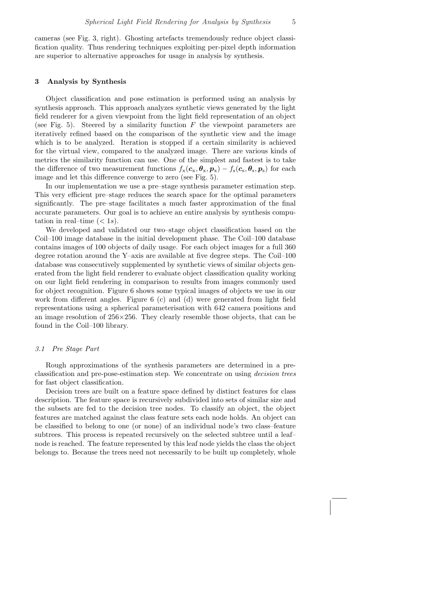cameras (see Fig. 3, right). Ghosting artefacts tremendously reduce object classification quality. Thus rendering techniques exploiting per-pixel depth information are superior to alternative approaches for usage in analysis by synthesis.

#### 3 Analysis by Synthesis

Object classification and pose estimation is performed using an analysis by synthesis approach. This approach analyzes synthetic views generated by the light field renderer for a given viewpoint from the light field representation of an object (see Fig. 5). Steered by a similarity function  $F$  the viewpoint parameters are iteratively refined based on the comparison of the synthetic view and the image which is to be analyzed. Iteration is stopped if a certain similarity is achieved for the virtual view, compared to the analyzed image. There are various kinds of metrics the similarity function can use. One of the simplest and fastest is to take the difference of two measurement functions  $f_x(c_x, \theta_x, p_x) - f_s(c_s, \theta_s, p_s)$  for each image and let this difference converge to zero (see Fig. 5).

In our implementation we use a pre–stage synthesis parameter estimation step. This very efficient pre–stage reduces the search space for the optimal parameters significantly. The pre–stage facilitates a much faster approximation of the final accurate parameters. Our goal is to achieve an entire analysis by synthesis computation in real–time  $(< 1s)$ .

We developed and validated our two–stage object classification based on the Coil–100 image database in the initial development phase. The Coil–100 database contains images of 100 objects of daily usage. For each object images for a full 360 degree rotation around the Y–axis are available at five degree steps. The Coil–100 database was consecutively supplemented by synthetic views of similar objects generated from the light field renderer to evaluate object classification quality working on our light field rendering in comparison to results from images commonly used for object recognition. Figure 6 shows some typical images of objects we use in our work from different angles. Figure 6 (c) and (d) were generated from light field representations using a spherical parameterisation with 642 camera positions and an image resolution of  $256\times256$ . They clearly resemble those objects, that can be found in the Coil–100 library.

### 3.1 Pre Stage Part

Rough approximations of the synthesis parameters are determined in a preclassification and pre-pose-estimation step. We concentrate on using decision trees for fast object classification.

Decision trees are built on a feature space defined by distinct features for class description. The feature space is recursively subdivided into sets of similar size and the subsets are fed to the decision tree nodes. To classify an object, the object features are matched against the class feature sets each node holds. An object can be classified to belong to one (or none) of an individual node's two class–feature subtrees. This process is repeated recursively on the selected subtree until a leaf– node is reached. The feature represented by this leaf node yields the class the object belongs to. Because the trees need not necessarily to be built up completely, whole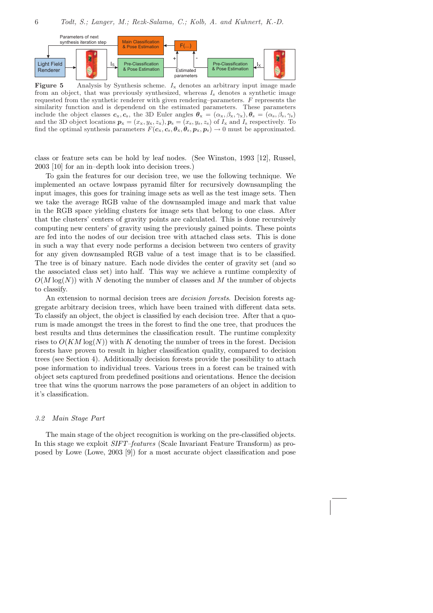

**Figure 5** Analysis by Synthesis scheme.  $I_x$  denotes an arbitrary input image made from an object, that was previously synthesized, whereas  $I_s$  denotes a synthetic image requested from the synthetic renderer with given rendering–parameters.  $F$  represents the similarity function and is dependend on the estimated parameters. These parameters include the object classes  $c_x, c_s$ , the 3D Euler angles  $\theta_x = (\alpha_x, \beta_x, \gamma_x), \theta_s = (\alpha_s, \beta_s, \gamma_s)$ and the 3D object locations  $p_x = (x_x, y_x, z_x), p_s = (x_s, y_s, z_s)$  of  $I_x$  and  $I_s$  respectively. To find the optimal synthesis parameters  $F(c_x, c_s, \theta_x, \theta_s, p_x, p_s) \rightarrow 0$  must be approximated.

class or feature sets can be hold by leaf nodes. (See Winston, 1993 [12], Russel, 2003 [10] for an in–depth look into decision trees.)

To gain the features for our decision tree, we use the following technique. We implemented an octave lowpass pyramid filter for recursively downsampling the input images, this goes for training image sets as well as the test image sets. Then we take the average RGB value of the downsampled image and mark that value in the RGB space yielding clusters for image sets that belong to one class. After that the clusters' centers of gravity points are calculated. This is done recursively computing new centers' of gravity using the previously gained points. These points are fed into the nodes of our decision tree with attached class sets. This is done in such a way that every node performs a decision between two centers of gravity for any given downsampled RGB value of a test image that is to be classified. The tree is of binary nature. Each node divides the center of gravity set (and so the associated class set) into half. This way we achieve a runtime complexity of  $O(M \log(N))$  with N denoting the number of classes and M the number of objects to classify.

An extension to normal decision trees are *decision forests*. Decision forests aggregate arbitrary decision trees, which have been trained with different data sets. To classify an object, the object is classified by each decision tree. After that a quorum is made amongst the trees in the forest to find the one tree, that produces the best results and thus determines the classification result. The runtime complexity rises to  $O(KM \log(N))$  with K denoting the number of trees in the forest. Decision forests have proven to result in higher classification quality, compared to decision trees (see Section 4). Additionally decision forests provide the possibility to attach pose information to individual trees. Various trees in a forest can be trained with object sets captured from predefined positions and orientations. Hence the decision tree that wins the quorum narrows the pose parameters of an object in addition to it's classification.

#### 3.2 Main Stage Part

The main stage of the object recognition is working on the pre-classified objects. In this stage we exploit SIFT–features (Scale Invariant Feature Transform) as proposed by Lowe (Lowe, 2003 [9]) for a most accurate object classification and pose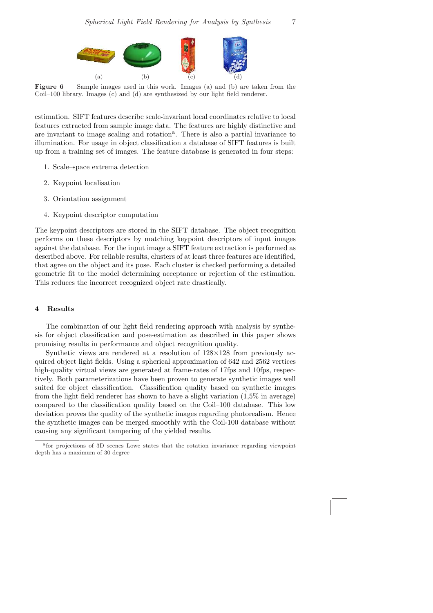

Figure 6 Sample images used in this work. Images (a) and (b) are taken from the Coil–100 library. Images (c) and (d) are synthesized by our light field renderer.

estimation. SIFT features describe scale-invariant local coordinates relative to local features extracted from sample image data. The features are highly distinctive and are invariant to image scaling and rotation<sup>a</sup>. There is also a partial invariance to illumination. For usage in object classification a database of SIFT features is built up from a training set of images. The feature database is generated in four steps:

- 1. Scale–space extrema detection
- 2. Keypoint localisation
- 3. Orientation assignment
- 4. Keypoint descriptor computation

The keypoint descriptors are stored in the SIFT database. The object recognition performs on these descriptors by matching keypoint descriptors of input images against the database. For the input image a SIFT feature extraction is performed as described above. For reliable results, clusters of at least three features are identified, that agree on the object and its pose. Each cluster is checked performing a detailed geometric fit to the model determining acceptance or rejection of the estimation. This reduces the incorrect recognized object rate drastically.

# 4 Results

The combination of our light field rendering approach with analysis by synthesis for object classification and pose-estimation as described in this paper shows promising results in performance and object recognition quality.

Synthetic views are rendered at a resolution of  $128\times128$  from previously acquired object light fields. Using a spherical approximation of 642 and 2562 vertices high-quality virtual views are generated at frame-rates of 17fps and 10fps, respectively. Both parameterizations have been proven to generate synthetic images well suited for object classification. Classification quality based on synthetic images from the light field renderer has shown to have a slight variation (1,5% in average) compared to the classification quality based on the Coil–100 database. This low deviation proves the quality of the synthetic images regarding photorealism. Hence the synthetic images can be merged smoothly with the Coil-100 database without causing any significant tampering of the yielded results.

a for projections of 3D scenes Lowe states that the rotation invariance regarding viewpoint depth has a maximum of 30 degree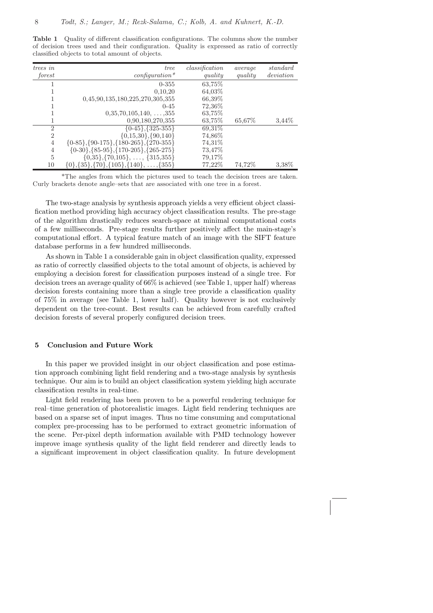Table 1 Quality of different classification configurations. The columns show the number of decision trees used and their configuration. Quality is expressed as ratio of correctly classified objects to total amount of objects.

| trees in                    | tree                                                       | classification | average | standard  |
|-----------------------------|------------------------------------------------------------|----------------|---------|-----------|
| forest                      | $\alpha$ configuration*                                    | quality        | quality | deviation |
|                             | $0 - 355$                                                  | 63,75%         |         |           |
|                             | 0,10,20                                                    | 64,03%         |         |           |
|                             | 0,45,90,135,180,225,270,305,355                            | 66,39%         |         |           |
|                             | $0 - 45$                                                   | 72,36\%        |         |           |
|                             | $0,35,70,105,140,\ldots,355$                               | 63.75\%        |         |           |
|                             | 0,90,180,270,355                                           | 63,75%         | 65,67%  | 3.44\%    |
| $\mathcal{D}_{\mathcal{L}}$ | $\{0-45\}, \{325-355\}$                                    | 69,31\%        |         |           |
| $\overline{2}$              | $\{0,15,30\}, \{90,140\}$                                  | 74,86%         |         |           |
| 4                           | $\{0-85\}, \{90-175\}, \{180-265\}, \{270-355\}$           | 74,31\%        |         |           |
| 4                           | $\{0-30\}, \{85-95\}, \{170-205\}, \{265-275\}$            | 73,47\%        |         |           |
| 5                           | $\{0,35\}, \{70,105\}, \ldots, \{315,355\}$                | 79,17%         |         |           |
| 10                          | $\{0\}, \{35\}, \{70\}, \{105\}, \{140\}, \ldots, \{355\}$ | 77,22%         | 74,72%  | 3,38%     |

\*The angles from which the pictures used to teach the decision trees are taken. Curly brackets denote angle–sets that are associated with one tree in a forest.

The two-stage analysis by synthesis approach yields a very efficient object classification method providing high accuracy object classification results. The pre-stage of the algorithm drastically reduces search-space at minimal computational costs of a few milliseconds. Pre-stage results further positively affect the main-stage's computational effort. A typical feature match of an image with the SIFT feature database performs in a few hundred milliseconds.

As shown in Table 1 a considerable gain in object classification quality, expressed as ratio of correctly classified objects to the total amount of objects, is achieved by employing a decision forest for classification purposes instead of a single tree. For decision trees an average quality of 66% is achieved (see Table 1, upper half) whereas decision forests containing more than a single tree provide a classification quality of 75% in average (see Table 1, lower half). Quality however is not exclusively dependent on the tree-count. Best results can be achieved from carefully crafted decision forests of several properly configured decision trees.

# 5 Conclusion and Future Work

In this paper we provided insight in our object classification and pose estimation approach combining light field rendering and a two-stage analysis by synthesis technique. Our aim is to build an object classification system yielding high accurate classification results in real-time.

Light field rendering has been proven to be a powerful rendering technique for real–time generation of photorealistic images. Light field rendering techniques are based on a sparse set of input images. Thus no time consuming and computational complex pre-processing has to be performed to extract geometric information of the scene. Per-pixel depth information available with PMD technology however improve image synthesis quality of the light field renderer and directly leads to a significant improvement in object classification quality. In future development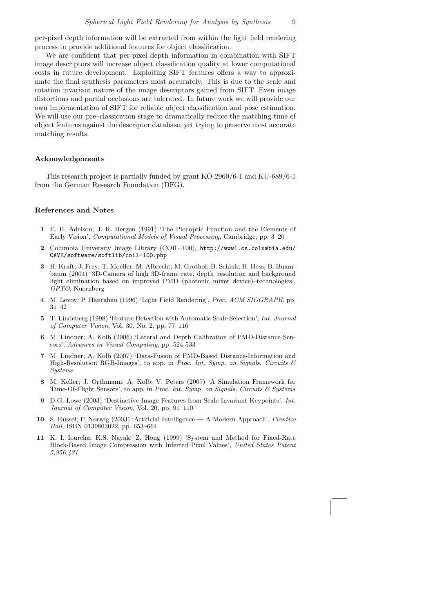per-pixel depth information will be extracted from within the light field rendering process to provide additional features for object classification.

We are confident that per-pixel depth information in combination with SIFT image descriptors will increase object classification quality at lower computational costs in future development. Exploiting SIFT features offers a way to approximate the final synthesis parameters most accurately. This is due to the scale and rotation invariant nature of the image descriptors gained from SIFT. Even image distortions and partial occlusions are tolerated. In future work we will provide our own implementation of SIFT for reliable object classification and pose estimation. We will use our pre–classication stage to dramatically reduce the matching time of object features against the descriptor database, yet trying to preserve most accurate matching results.

#### Acknowledgements

This research project is partially funded by grant KO-2960/6-1 and KU-689/6-1 from the German Research Foundation (DFG).

### References and Notes

- 1 E. H. Adelson; J. R. Bergen (1991) 'The Plenoptic Function and the Elements of Early Vision', Computational Models of Visual Processing, Cambridge, pp. 3–20
- 2 Columbia University Image Library (COIL–100), http://www1.cs.columbia.edu/ CAVE/software/softlib/coil-100.php
- 3 H. Kraft; J. Frey; T. Moeller; M. Albrecht; M. Grothof; B. Schink; H. Hess; B. Buxmbaum (2004) '3D-Camera of high 3D-frame rate, depth–resolution and background light elimination based on improved PMD (photonic mixer device)–technologies', OPTO, Nuernberg
- 4 M. Levoy; P. Hanrahan (1996) 'Light Field Rendering', Proc. ACM SIGGRAPH, pp. 31–42
- 5 T. Lindeberg (1998) 'Feature Detection with Automatic Scale Selection', Int. Journal of Computer Vision, Vol. 30, No. 2, pp. 77–116
- 6 M. Lindner; A. Kolb (2006) 'Lateral and Depth Calibration of PMD-Distance Sensors', Advances in Visual Computing, pp. 524-533
- 7 M. Lindner; A. Kolb (2007) 'Data-Fusion of PMD-Based Distance-Information and High-Resolution RGB-Images', to app. in *Proc. Int. Symp. on Signals, Circuits*  $\mathcal{B}$ Systems
- 8 M. Keller; J. Orthmann; A. Kolb; V. Peters (2007) 'A Simulation Framework for Time-Of-Flight Sensors', to app. in Proc. Int. Symp. on Signals, Circuits  $\mathcal C$  Systems
- 9 D.G. Lowe (2003) 'Destinctive Image Features from Scale-Invariant Keypoints', Int. Journal of Computer Vision, Vol. 20, pp. 91–110
- 10 S. Russel; P. Norwig (2003) 'Artificial Intelligence A Modern Approach', Prentice Hall, ISBN 0130803022, pp. 653–664
- 11 K. I. Iourcha; K.S. Nayak; Z. Hong (1999) 'System and Method for Fixed-Rate Block-Based Image Compression with Inferred Pixel Values', United States Patent 5,956,431